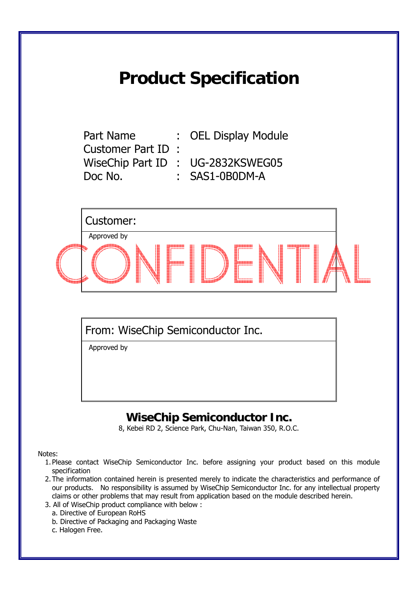# **Product Specification**

Customer Part ID : Doc No. : SAS1-0B0DM-A

Part Name : OEL Display Module

WiseChip Part ID : UG-2832KSWEG05

Customer: Approved by

From: WiseChip Semiconductor Inc.

Approved by

# **WiseChip Semiconductor Inc.**

8, Kebei RD 2, Science Park, Chu-Nan, Taiwan 350, R.O.C.

Notes:

- 1. Please contact WiseChip Semiconductor Inc. before assigning your product based on this module specification
- 2. The information contained herein is presented merely to indicate the characteristics and performance of our products. No responsibility is assumed by WiseChip Semiconductor Inc. for any intellectual property claims or other problems that may result from application based on the module described herein.
- 3. All of WiseChip product compliance with below :
	- a. Directive of European RoHS
	- b. Directive of Packaging and Packaging Waste
	- c. Halogen Free.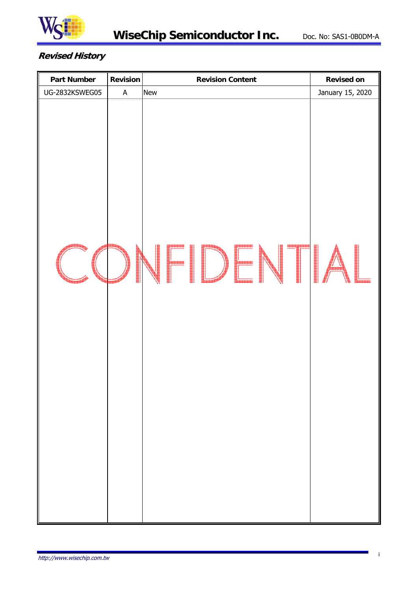

# **Revised History**

| <b>Part Number</b> | <b>Revision</b>           | <b>Revision Content</b> | <b>Revised on</b> |
|--------------------|---------------------------|-------------------------|-------------------|
| UG-2832KSWEG05     | $\boldsymbol{\mathsf{A}}$ | <b>New</b>              | January 15, 2020  |
|                    |                           | $\blacksquare$          |                   |
|                    |                           |                         |                   |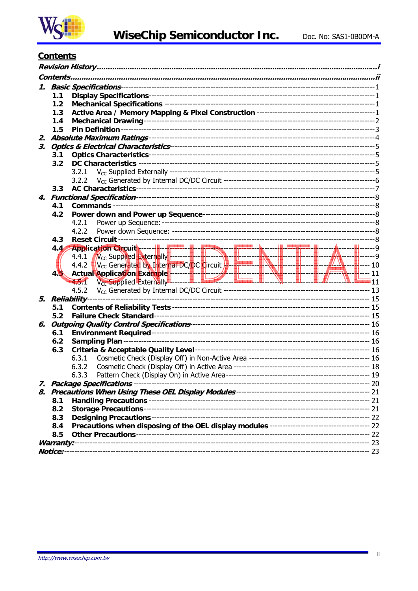

# **Contents**

|    | Contents       |                                                                                                                                                                                                                                                                                                        |  |  |  |  |  |  |
|----|----------------|--------------------------------------------------------------------------------------------------------------------------------------------------------------------------------------------------------------------------------------------------------------------------------------------------------|--|--|--|--|--|--|
|    |                |                                                                                                                                                                                                                                                                                                        |  |  |  |  |  |  |
|    | 1.1            |                                                                                                                                                                                                                                                                                                        |  |  |  |  |  |  |
|    | 1.2            |                                                                                                                                                                                                                                                                                                        |  |  |  |  |  |  |
|    | 1.3            |                                                                                                                                                                                                                                                                                                        |  |  |  |  |  |  |
|    | 1.4            |                                                                                                                                                                                                                                                                                                        |  |  |  |  |  |  |
|    | 1.5            |                                                                                                                                                                                                                                                                                                        |  |  |  |  |  |  |
| 2. |                |                                                                                                                                                                                                                                                                                                        |  |  |  |  |  |  |
| З. |                |                                                                                                                                                                                                                                                                                                        |  |  |  |  |  |  |
|    | 3.1            |                                                                                                                                                                                                                                                                                                        |  |  |  |  |  |  |
|    | 3.2            |                                                                                                                                                                                                                                                                                                        |  |  |  |  |  |  |
|    |                | 3.2.1                                                                                                                                                                                                                                                                                                  |  |  |  |  |  |  |
|    |                | 3.2.2                                                                                                                                                                                                                                                                                                  |  |  |  |  |  |  |
|    | 3.3            |                                                                                                                                                                                                                                                                                                        |  |  |  |  |  |  |
|    |                |                                                                                                                                                                                                                                                                                                        |  |  |  |  |  |  |
|    | 4.1            |                                                                                                                                                                                                                                                                                                        |  |  |  |  |  |  |
|    | 4.2            |                                                                                                                                                                                                                                                                                                        |  |  |  |  |  |  |
|    |                | 4.2.1                                                                                                                                                                                                                                                                                                  |  |  |  |  |  |  |
|    |                | 4.2.2                                                                                                                                                                                                                                                                                                  |  |  |  |  |  |  |
|    | 4.3            |                                                                                                                                                                                                                                                                                                        |  |  |  |  |  |  |
|    | 4.44           |                                                                                                                                                                                                                                                                                                        |  |  |  |  |  |  |
|    |                |                                                                                                                                                                                                                                                                                                        |  |  |  |  |  |  |
|    |                |                                                                                                                                                                                                                                                                                                        |  |  |  |  |  |  |
|    | 45             |                                                                                                                                                                                                                                                                                                        |  |  |  |  |  |  |
|    |                | Application Circuit<br>4.4.1 V <sub>cc</sub> Supplied Externally<br>4.4.2 V <sub>cc</sub> Generated by Internal BC/DC Circuit<br>4.5.1 V <sub>cc</sub> Supplied Externally<br>4.5.1 V <sub>cc</sub> Supplied Externally<br>4.5.1 V <sub>cc</sub> Supplied Externally<br>4.5.1 V <sub>cc</sub> Supplied |  |  |  |  |  |  |
|    |                | 4.5.2                                                                                                                                                                                                                                                                                                  |  |  |  |  |  |  |
|    | 5. Reliability |                                                                                                                                                                                                                                                                                                        |  |  |  |  |  |  |
|    | 5.1            |                                                                                                                                                                                                                                                                                                        |  |  |  |  |  |  |
|    | 5.2            |                                                                                                                                                                                                                                                                                                        |  |  |  |  |  |  |
| 6. |                |                                                                                                                                                                                                                                                                                                        |  |  |  |  |  |  |
|    | 6.1            |                                                                                                                                                                                                                                                                                                        |  |  |  |  |  |  |
|    | 6.2            |                                                                                                                                                                                                                                                                                                        |  |  |  |  |  |  |
|    | 6.3            |                                                                                                                                                                                                                                                                                                        |  |  |  |  |  |  |
|    |                | 6.3.1                                                                                                                                                                                                                                                                                                  |  |  |  |  |  |  |
|    |                | 6.3.2                                                                                                                                                                                                                                                                                                  |  |  |  |  |  |  |
|    |                | 6.3.3                                                                                                                                                                                                                                                                                                  |  |  |  |  |  |  |
|    |                |                                                                                                                                                                                                                                                                                                        |  |  |  |  |  |  |
|    |                |                                                                                                                                                                                                                                                                                                        |  |  |  |  |  |  |
|    | 8.1            |                                                                                                                                                                                                                                                                                                        |  |  |  |  |  |  |
|    | 8.2            |                                                                                                                                                                                                                                                                                                        |  |  |  |  |  |  |
|    | 8.3            |                                                                                                                                                                                                                                                                                                        |  |  |  |  |  |  |
|    | 8.4            |                                                                                                                                                                                                                                                                                                        |  |  |  |  |  |  |
|    | 8.5            |                                                                                                                                                                                                                                                                                                        |  |  |  |  |  |  |
|    |                |                                                                                                                                                                                                                                                                                                        |  |  |  |  |  |  |
|    |                |                                                                                                                                                                                                                                                                                                        |  |  |  |  |  |  |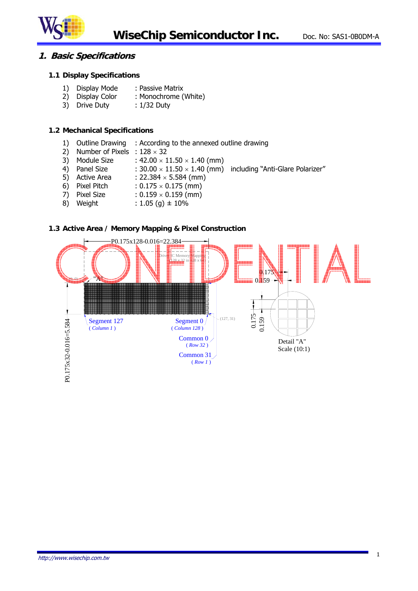

## **1. Basic Specifications**

#### **1.1 Display Specifications**

- 1) Display Mode : Passive Matrix
- 2) Display Color : Monochrome (White)
- 3) Drive Duty : 1/32 Duty

#### **1.2 Mechanical Specifications**

- 1) Outline Drawing : According to the annexed outline drawing
- 2) Number of Pixels :  $128 \times 32$
- 3) Module Size :  $42.00 \times 11.50 \times 1.40$  (mm)
- 4) Panel Size :  $30.00 \times 11.50 \times 1.40$  (mm) including "Anti-Glare Polarizer"
- 5) Active Area :  $22.384 \times 5.584$  (mm)
- 6) Pixel Pitch :  $0.175 \times 0.175$  (mm)
- 7) Pixel Size :  $0.159 \times 0.159$  (mm)
- 8) Weight :  $1.05$  (g)  $\pm$  10%

#### **1.3 Active Area / Memory Mapping & Pixel Construction**

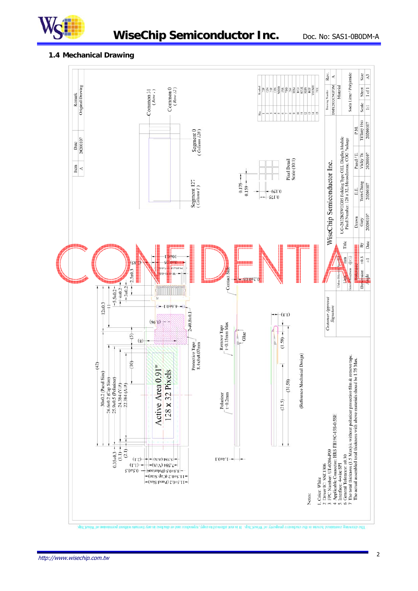

# **WiseChip Semiconductor Inc.** Doc. No: SAS1-0B0DM-A

#### **1.4 Mechanical Drawing**

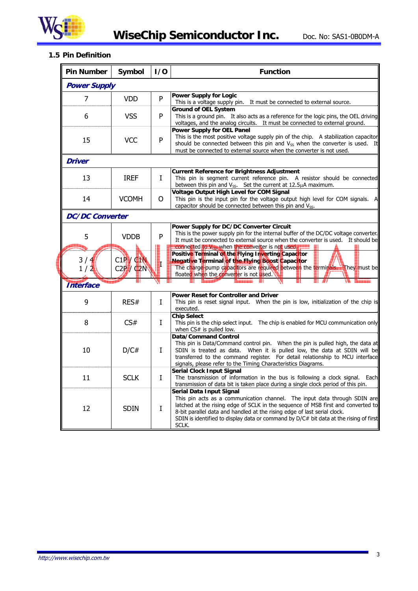

**CONTINUES** 

## **1.5 Pin Definition**

| <b>Pin Number</b>      | Symbol                    | 1/0         | <b>Function</b>                                                                                                                                                                                                                                                                                                                                                         |
|------------------------|---------------------------|-------------|-------------------------------------------------------------------------------------------------------------------------------------------------------------------------------------------------------------------------------------------------------------------------------------------------------------------------------------------------------------------------|
| <b>Power Supply</b>    |                           |             |                                                                                                                                                                                                                                                                                                                                                                         |
| 7                      | <b>VDD</b>                | P           | <b>Power Supply for Logic</b><br>This is a voltage supply pin. It must be connected to external source.                                                                                                                                                                                                                                                                 |
| 6                      | <b>VSS</b>                | P           | <b>Ground of OEL System</b><br>This is a ground pin. It also acts as a reference for the logic pins, the OEL driving<br>voltages, and the analog circuits. It must be connected to external ground.                                                                                                                                                                     |
| 15                     | <b>VCC</b>                | P           | <b>Power Supply for OEL Panel</b><br>This is the most positive voltage supply pin of the chip. A stabilization capacitor<br>should be connected between this pin and V <sub>SS</sub> when the converter is used. It<br>must be connected to external source when the converter is not used.                                                                             |
| Driver                 |                           |             |                                                                                                                                                                                                                                                                                                                                                                         |
| 13                     | <b>IREF</b>               | Ι           | <b>Current Reference for Brightness Adjustment</b><br>This pin is segment current reference pin. A resistor should be connected<br>between this pin and $V_{SS}$ . Set the current at 12.5 $\mu$ A maximum.                                                                                                                                                             |
| 14                     | <b>VCOMH</b>              | 0           | <b>Voltage Output High Level for COM Signal</b><br>This pin is the input pin for the voltage output high level for COM signals. A<br>capacitor should be connected between this pin and V <sub>SS</sub> .                                                                                                                                                               |
| <b>DC/DC Converter</b> |                           |             |                                                                                                                                                                                                                                                                                                                                                                         |
| 5                      | <b>VDDB</b>               | P           | Power Supply for DC/DC Converter Circuit<br>This is the power supply pin for the internal buffer of the DC/DC voltage converter.<br>It must be connected to external source when the converter is used. It should be                                                                                                                                                    |
| 3/4<br>1/2             | C1PY CIN<br>$C2P$ / $Q2N$ |             | connected to V <sub>op</sub> when the converter is not used.<br>Positive Terminal of the Flying Inverting Capacitor<br>Negative Terminal of the Flying Boost Capacitor<br>The charge-pump capacitors are required between the terminals. They must be<br>floated when the converter is not used.                                                                        |
| <b>Interface</b>       |                           |             |                                                                                                                                                                                                                                                                                                                                                                         |
| 9                      | RES#                      | I           | Power Reset for Controller and Driver<br>This pin is reset signal input. When the pin is low, initialization of the chip is<br>executed.                                                                                                                                                                                                                                |
| 8                      | CS#                       | Ι           | <b>Chip Select</b><br>This pin is the chip select input. The chip is enabled for MCU communication only<br>when CS# is pulled low.                                                                                                                                                                                                                                      |
| 10                     | D/C#                      | L           | Data/Command Control<br>This pin is Data/Command control pin. When the pin is pulled high, the data at<br>SDIN is treated as data. When it is pulled low, the data at SDIN will be<br>transferred to the command register. For detail relationship to MCU interface<br>signals, please refer to the Timing Characteristics Diagrams.                                    |
| 11                     | <b>SCLK</b>               | $\mathbf I$ | <b>Serial Clock Input Signal</b><br>The transmission of information in the bus is following a clock signal. Each<br>transmission of data bit is taken place during a single clock period of this pin.                                                                                                                                                                   |
| 12                     | <b>SDIN</b>               | I           | Serial Data Input Signal<br>This pin acts as a communication channel. The input data through SDIN are<br>latched at the rising edge of SCLK in the sequence of MSB first and converted to<br>8-bit parallel data and handled at the rising edge of last serial clock.<br>SDIN is identified to display data or command by D/C# bit data at the rising of first<br>SCLK. |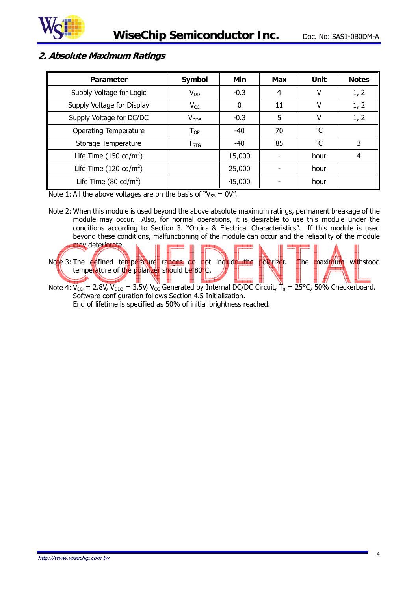

# **2. Absolute Maximum Ratings**

| Parameter                        | Symbol                      | Min      | Max | Unit | <b>Notes</b> |
|----------------------------------|-----------------------------|----------|-----|------|--------------|
| Supply Voltage for Logic         | $V_{DD}$                    | $-0.3$   | 4   |      | 1, 2         |
| Supply Voltage for Display       | $V_{CC}$                    | $\Omega$ | 11  | V    | 1, 2         |
| Supply Voltage for DC/DC         | $V_{DDB}$                   | $-0.3$   | 5   |      | 1, 2         |
| Operating Temperature            | $\mathsf{T}_{\mathsf{OP}}$  | $-40$    | 70  | ℃    |              |
| Storage Temperature              | $\mathsf{T}_{\mathsf{STG}}$ | $-40$    | 85  | °C   | 3            |
| Life Time $(150 \text{ cd/m}^2)$ |                             | 15,000   |     | hour | 4            |
| Life Time $(120 \text{ cd/m}^2)$ |                             | 25,000   |     | hour |              |
| Life Time $(80 \text{ cd/m}^2)$  |                             | 45,000   |     | hour |              |

Note 1: All the above voltages are on the basis of " $V_{SS} = 0V$ ".

Note 2: When this module is used beyond the above absolute maximum ratings, permanent breakage of the module may occur. Also, for normal operations, it is desirable to use this module under the conditions according to Section 3. "Optics & Electrical Characteristics". If this module is used beyond these conditions, malfunctioning of the module can occur and the reliability of the module



Note 4:  $V_{DD}$  = 2.8V,  $V_{DB}$  = 3.5V,  $V_{CC}$  Generated by Internal DC/DC Circuit,  $\dot{T}_a$  = 25°C, 50% Checkerboard. Software configuration follows Section 4.5 Initialization. End of lifetime is specified as 50% of initial brightness reached.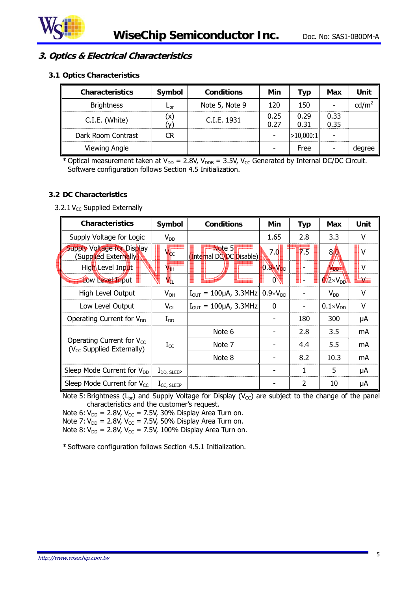

# **3. Optics & Electrical Characteristics**

**3.1 Optics Characteristics** 

| <b>Characteristics</b> | Symbol       | <b>Conditions</b> | Min          | Typ          | Max          | Unit            |
|------------------------|--------------|-------------------|--------------|--------------|--------------|-----------------|
| <b>Brightness</b>      | $L_{\rm br}$ | Note 5, Note 9    | 120          | 150          |              | $\text{cd/m}^2$ |
| C.I.E. (White)         | (x)          | C.I.E. 1931       | 0.25<br>0.27 | 0.29<br>0.31 | 0.33<br>0.35 |                 |
| Dark Room Contrast     | CR           |                   |              | >10,000:1    |              |                 |
| Viewing Angle          |              |                   |              | Free         |              | degree          |

\* Optical measurement taken at  $V_{DD} = 2.8V$ ,  $V_{DDB} = 3.5V$ ,  $V_{CC}$  Generated by Internal DC/DC Circuit. Software configuration follows Section 4.5 Initialization.

#### **3.2 DC Characteristics**

#### 3.2.1  $V_{CC}$  Supplied Externally

| <b>Characteristics</b>                                           | Symbol                    | <b>Conditions</b>                     |                     | <b>Typ</b>       | Max                 | Unit            |
|------------------------------------------------------------------|---------------------------|---------------------------------------|---------------------|------------------|---------------------|-----------------|
| Supply Voltage for Logic                                         | $V_{DD}$                  |                                       | 1.65                | 2.8              | 3.3                 | v               |
| Supply Voltage for Display<br>(Supplied Externally)              | $\sqrt{4}c$               | Note 5<br>Internal DC/DC Disable)     | 7.0                 | $\overline{7.5}$ | 80                  | V               |
| High Level Input                                                 | $\mathbf{V}_{\mathbf{H}}$ |                                       | $0.8 \times V_{DD}$ |                  | V <sub>DD</sub>     | v               |
| Low Level Input                                                  | <b>VI</b>                 |                                       | $0^{\circ}$         |                  | $12\times V_{DD}$   | <b>La Visco</b> |
| High Level Output                                                | $V_{OH}$                  | $I_{\text{OUT}} = 100 \mu A$ , 3.3MHz | $0.9 \times V_{DD}$ |                  | $V_{DD}$            | v               |
| Low Level Output                                                 | $V_{OL}$                  | $I_{OUT} = 100 \mu A$ , 3.3MHz        | $\mathbf 0$         |                  | $0.1 \times V_{DD}$ | v               |
| Operating Current for $V_{DD}$                                   | $\rm I_{DD}$              |                                       |                     | 180              | 300                 | μA              |
|                                                                  |                           | Note 6                                |                     | 2.8              | 3.5                 | mA              |
| Operating Current for $V_{CC}$<br>$(V_{CC}$ Supplied Externally) | $I_{CC}$                  | Note 7                                |                     | 4.4              | 5.5                 | mA              |
|                                                                  |                           | Note 8                                |                     | 8.2              | 10.3                | mA              |
| Sleep Mode Current for V <sub>DD</sub>                           | $I_{DD, SLEEP}$           |                                       |                     | 1                | 5                   | μA              |
| Sleep Mode Current for $V_{CC}$                                  | $I_{CC, SLEEP}$           |                                       |                     | 2                | 10                  | μA              |

Note 5: Brightness ( $L_{\text{br}}$ ) and Supply Voltage for Display ( $V_{\text{CC}}$ ) are subject to the change of the panel characteristics and the customer's request.

Note 6:  $V_{DD}$  = 2.8V, V<sub>CC</sub> = 7.5V, 30% Display Area Turn on.

Note 7:  $V_{DD}$  = 2.8V,  $V_{CC}$  = 7.5V, 50% Display Area Turn on.

Note 8:  $V_{DD} = 2.8V$ ,  $V_{CC} = 7.5V$ , 100% Display Area Turn on.

\* Software configuration follows Section 4.5.1 Initialization.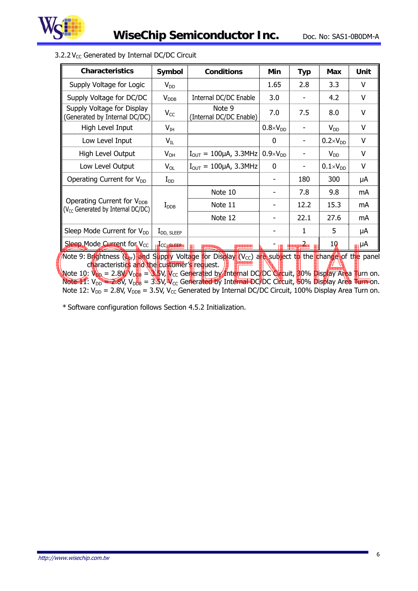

| <b>Characteristics</b>                                                                                                                                                                                                                                                                                                                                                                                                                                                                                                                                                 | Symbol           | <b>Conditions</b>                     | Min                 | <b>Typ</b> | <b>Max</b>          | Unit |
|------------------------------------------------------------------------------------------------------------------------------------------------------------------------------------------------------------------------------------------------------------------------------------------------------------------------------------------------------------------------------------------------------------------------------------------------------------------------------------------------------------------------------------------------------------------------|------------------|---------------------------------------|---------------------|------------|---------------------|------|
| Supply Voltage for Logic                                                                                                                                                                                                                                                                                                                                                                                                                                                                                                                                               | $V_{DD}$         |                                       | 1.65                | 2.8        | 3.3                 | V    |
| Supply Voltage for DC/DC                                                                                                                                                                                                                                                                                                                                                                                                                                                                                                                                               | V <sub>DB</sub>  | Internal DC/DC Enable                 | 3.0                 |            | 4.2                 | V    |
| Supply Voltage for Display<br>(Generated by Internal DC/DC)                                                                                                                                                                                                                                                                                                                                                                                                                                                                                                            | $V_{CC}$         | Note 9<br>(Internal DC/DC Enable)     | 7.0                 | 7.5        | 8.0                 | v    |
| High Level Input                                                                                                                                                                                                                                                                                                                                                                                                                                                                                                                                                       | $V_{IH}$         |                                       | $0.8 \times V_{DD}$ |            | $V_{DD}$            | v    |
| Low Level Input                                                                                                                                                                                                                                                                                                                                                                                                                                                                                                                                                        | $V_{IL}$         |                                       | $\Omega$            |            | $0.2 \times V_{DD}$ | v    |
| High Level Output                                                                                                                                                                                                                                                                                                                                                                                                                                                                                                                                                      | $V_{OH}$         | $I_{\text{OUT}} = 100 \mu A$ , 3.3MHz | $0.9 \times V_{DD}$ |            | $V_{DD}$            | V    |
| Low Level Output                                                                                                                                                                                                                                                                                                                                                                                                                                                                                                                                                       | $V_{OL}$         | $I_{\text{OUT}} = 100 \mu A$ , 3.3MHz | $\mathbf{0}$        |            | $0.1 \times V_{DD}$ | V    |
| Operating Current for V <sub>DD</sub>                                                                                                                                                                                                                                                                                                                                                                                                                                                                                                                                  | $I_{DD}$         |                                       |                     | 180        | 300                 | μA   |
|                                                                                                                                                                                                                                                                                                                                                                                                                                                                                                                                                                        |                  | Note 10                               |                     | 7.8        | 9.8                 | mA   |
| Operating Current for V <sub>DDB</sub><br>(V <sub>CC</sub> Generated by Internal DC/DC)                                                                                                                                                                                                                                                                                                                                                                                                                                                                                | $I_{\text{DDB}}$ | Note 11                               |                     | 12.2       | 15.3                | mA   |
|                                                                                                                                                                                                                                                                                                                                                                                                                                                                                                                                                                        |                  | Note 12                               |                     | 22.1       | 27.6                | mA   |
| Sleep Mode Current for V <sub>DD</sub>                                                                                                                                                                                                                                                                                                                                                                                                                                                                                                                                 | $I_{DD, SLEEP}$  |                                       |                     | 1          | 5                   | μA   |
| Sleep Mode Current for V <sub>cc</sub>                                                                                                                                                                                                                                                                                                                                                                                                                                                                                                                                 | <b>CC SLEEP</b>  |                                       |                     |            | 10                  | ⊪⊪   |
| Note 9: Brightness $(\mathbf{L}_0)$ and Supply Voltage for Display (V <sub>cc</sub> ) are subject to the change of the panel<br>characteristics and the customer's request.<br>Note 10: $V_{\text{DD}} = 2.8V/V_{\text{DBB}} = 8.5V$ , $V_{\text{CC}}$ Generated by Internal DC/DC Gircuit, 30% Display Area Turn on.<br>Note 11: $V_{DD} = 2.8V$ , $V_{DBB} = 3.5V$ , $V_{CC}$ Generated by Internal DC/DC Circuit, 50% Display Area Turn on.<br>Note 12: $V_{DD}$ = 2.8V, $V_{DDB}$ = 3.5V, $V_{CC}$ Generated by Internal DC/DC Circuit, 100% Display Area Turn on. |                  |                                       |                     |            |                     |      |

# $3.2.2$  V<sub>CC</sub> Generated by Internal DC/DC Circuit

\* Software configuration follows Section 4.5.2 Initialization.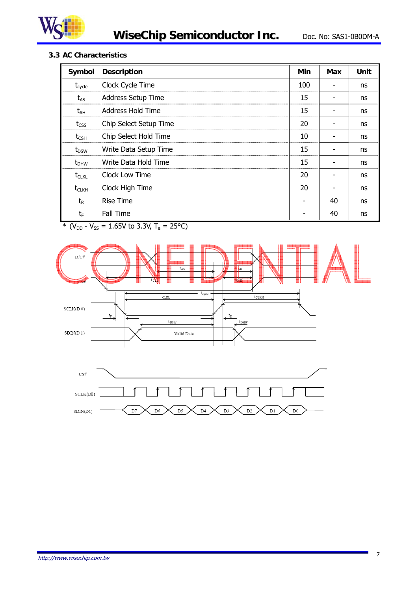

## **3.3 AC Characteristics**

| Symbol             | <b>Description</b>     | Min | Max | Unit |
|--------------------|------------------------|-----|-----|------|
| $t_{\text{cycle}}$ | Clock Cycle Time       | 100 |     | ns   |
| $t_{AS}$           | Address Setup Time     | 15  |     | ns   |
| $t_{AH}$           | Address Hold Time      | 15  |     | ns   |
| $t_{\text{CSS}}$   | Chip Select Setup Time | 20  |     | ns   |
| $t_{\text{CSH}}$   | Chip Select Hold Time  | 10  |     | ns   |
| $t_{DSW}$          | Write Data Setup Time  | 15  |     | ns   |
| $t_{DHW}$          | Write Data Hold Time   | 15  |     | ns   |
| $t_{CLKL}$         | <b>Clock Low Time</b>  | 20  |     | ns   |
| $t_{CLKH}$         | Clock High Time        | 20  |     | ns   |
| $t_{R}$            | <b>Rise Time</b>       |     | 40  | ns   |
| $t_{\text{F}}$     | Fall Time              |     | 40  | ns   |

\* ( $V_{DD}$  -  $V_{SS}$  = 1.65V to 3.3V, T<sub>a</sub> = 25°C)



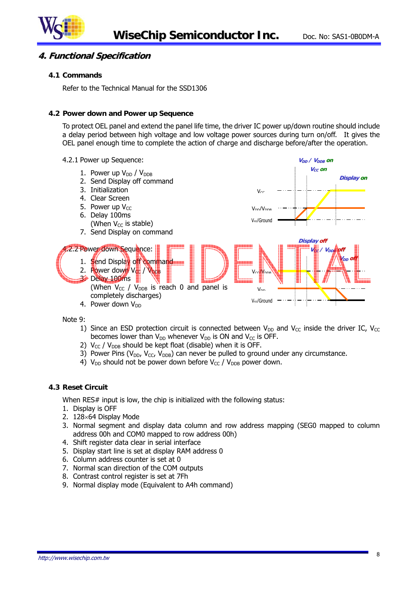

#### **4. Functional Specification**

#### **4.1 Commands**

Refer to the Technical Manual for the SSD1306

#### **4.2 Power down and Power up Sequence**

To protect OEL panel and extend the panel life time, the driver IC power up/down routine should include a delay period between high voltage and low voltage power sources during turn on/off. It gives the OEL panel enough time to complete the action of charge and discharge before/after the operation.



Note 9:

- 1) Since an ESD protection circuit is connected between  $V_{DD}$  and  $V_{CC}$  inside the driver IC,  $V_{CC}$ becomes lower than  $V_{DD}$  whenever  $V_{DD}$  is ON and  $V_{CC}$  is OFF.
- 2)  $V_{CC}$  /  $V_{DDB}$  should be kept float (disable) when it is OFF.
- 3) Power Pins ( $V_{DD}$ ,  $V_{CC}$ ,  $V_{DDB}$ ) can never be pulled to ground under any circumstance.
- 4)  $V_{DD}$  should not be power down before  $V_{CC}$  /  $V_{DDB}$  power down.

#### **4.3 Reset Circuit**

When RES# input is low, the chip is initialized with the following status:

- 1. Display is OFF
- 2. 128×64 Display Mode
- 3. Normal segment and display data column and row address mapping (SEG0 mapped to column address 00h and COM0 mapped to row address 00h)
- 4. Shift register data clear in serial interface
- 5. Display start line is set at display RAM address 0
- 6. Column address counter is set at 0
- 7. Normal scan direction of the COM outputs
- 8. Contrast control register is set at 7Fh
- 9. Normal display mode (Equivalent to A4h command)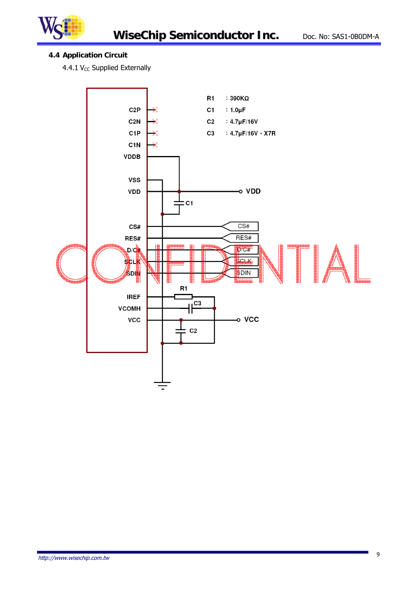

# **4.4 Application Circuit**

4.4.1  $V_{CC}$  Supplied Externally

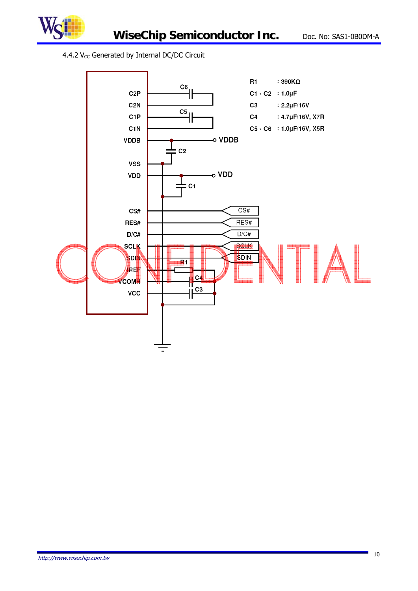

## 4.4.2  $V_{CC}$  Generated by Internal DC/DC Circuit

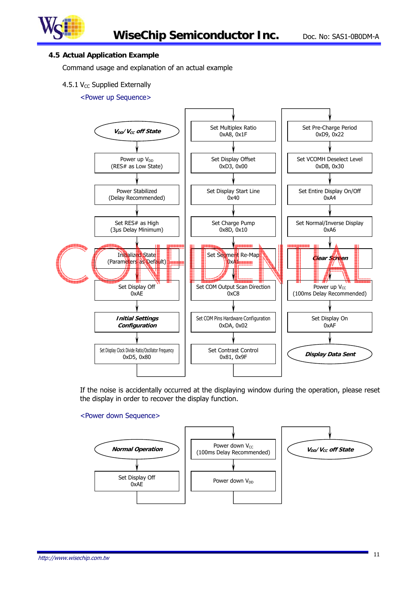

#### **4.5 Actual Application Example**

Command usage and explanation of an actual example

#### 4.5.1  $V_{CC}$  Supplied Externally

#### <Power up Sequence>



If the noise is accidentally occurred at the displaying window during the operation, please reset the display in order to recover the display function.

#### <Power down Sequence>

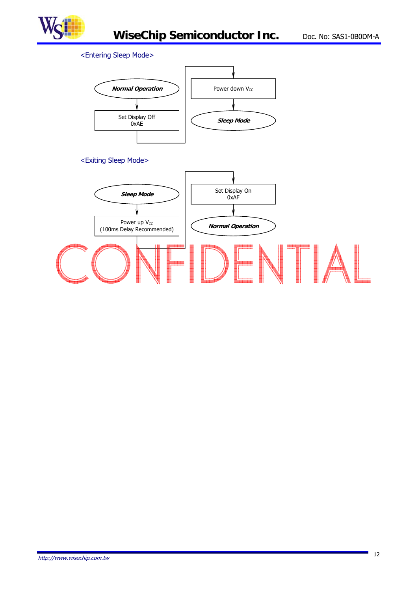

# <Entering Sleep Mode>

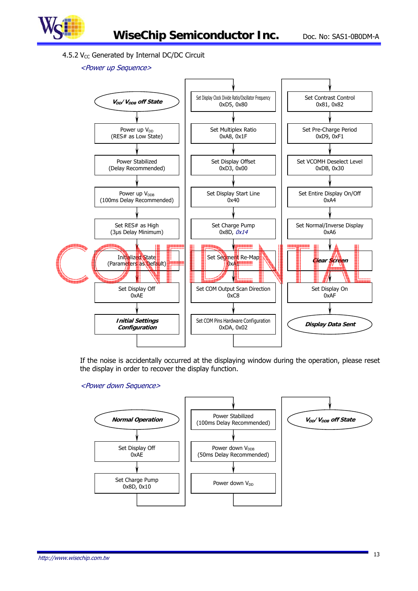

#### 4.5.2  $V_{CC}$  Generated by Internal DC/DC Circuit

#### <Power up Sequence>



If the noise is accidentally occurred at the displaying window during the operation, please reset the display in order to recover the display function.

#### <Power down Sequence>

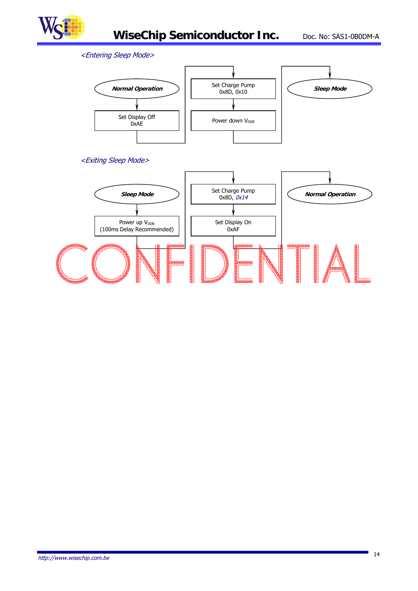

#### <Entering Sleep Mode>



#### <Exiting Sleep Mode>

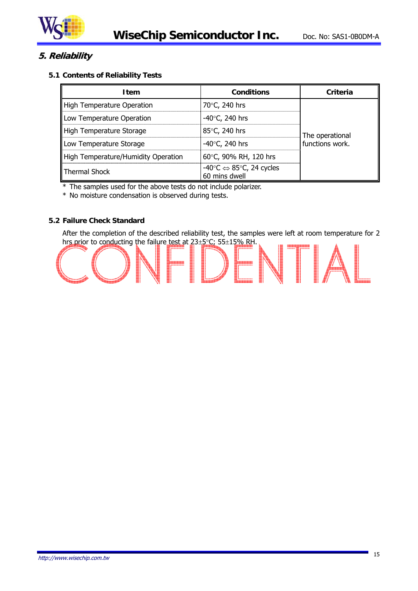

# **5. Reliability**

#### **5.1 Contents of Reliability Tests**

| <b>Item</b>                         | <b>Conditions</b>                                                             | Criteria                           |  |
|-------------------------------------|-------------------------------------------------------------------------------|------------------------------------|--|
| High Temperature Operation          | 70°C, 240 hrs                                                                 |                                    |  |
| Low Temperature Operation           | -40 $\degree$ C, 240 hrs                                                      |                                    |  |
| High Temperature Storage            | 85°C, 240 hrs                                                                 | The operational<br>functions work. |  |
| Low Temperature Storage             | -40 $\degree$ C, 240 hrs                                                      |                                    |  |
| High Temperature/Humidity Operation | 60°C, 90% RH, 120 hrs                                                         |                                    |  |
| Thermal Shock                       | $-40^{\circ}$ C $\Leftrightarrow$ 85 $^{\circ}$ C, 24 cycles<br>60 mins dwell |                                    |  |

\* The samples used for the above tests do not include polarizer.

\* No moisture condensation is observed during tests.

#### **5.2 Failure Check Standard**

After the completion of the described reliability test, the samples were left at room temperature for 2 hrs prior to conducting the failure test at  $23 \pm 5^{\circ}$ C; 55 $\pm 15\%$  RH.

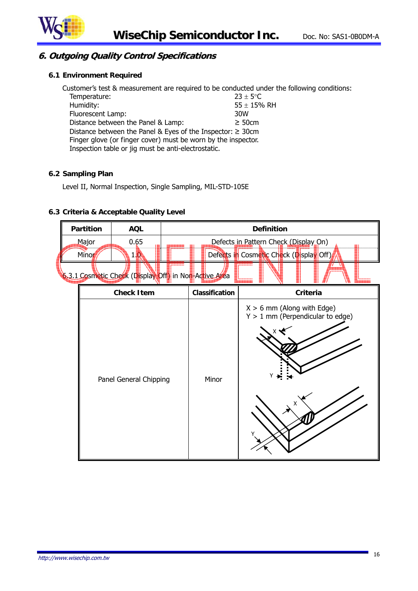

# **6. Outgoing Quality Control Specifications**

#### **6.1 Environment Required**

Customer's test & measurement are required to be conducted under the following conditions: Temperature:  $23 \pm 5^{\circ}$ C Humidity:  $55 \pm 15\%$  RH Fluorescent Lamp:  $55 \pm 15\%$  RH Fluorescent Lamp: Distance between the Panel & Lamp:  $\geq 50$ cm Distance between the Panel & Eyes of the Inspector: ≥ 30cm Finger glove (or finger cover) must be worn by the inspector. Inspection table or jig must be anti-electrostatic.

#### **6.2 Sampling Plan**

Level II, Normal Inspection, Single Sampling, MIL-STD-105E

## **6.3 Criteria & Acceptable Quality Level**

| <b>Partition</b>       | <b>AQL</b>                                            | <b>Definition</b> |                                                                           |                                                                                  |  |
|------------------------|-------------------------------------------------------|-------------------|---------------------------------------------------------------------------|----------------------------------------------------------------------------------|--|
| Major<br>Minor         | 0.65<br>10                                            |                   |                                                                           | Defects in Pattern Check (Display On)<br>Defects in Cosmetic Check (Display Off) |  |
|                        | 6.3.1 Cosmetic Check (Display Off) in Non-Active Area |                   |                                                                           |                                                                                  |  |
|                        | <b>Check Item</b>                                     |                   | <b>Classification</b>                                                     | Criteria                                                                         |  |
| Panel General Chipping |                                                       | Minor             | $X > 6$ mm (Along with Edge)<br>$Y > 1$ mm (Perpendicular to edge)<br>Y → |                                                                                  |  |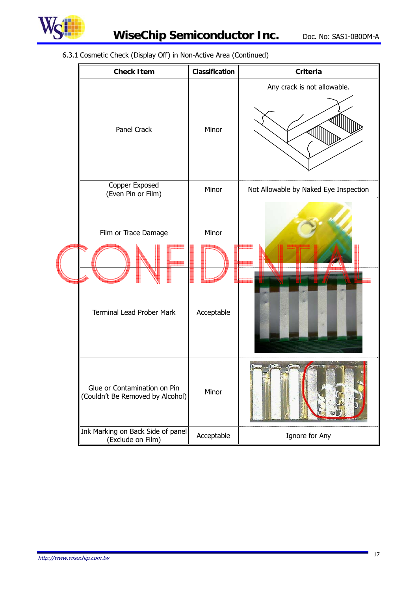

# **WiseChip Semiconductor Inc.** Doc. No: SAS1-0B0DM-A

6.3.1 Cosmetic Check (Display Off) in Non-Active Area (Continued)

| <b>Check Item</b>                                                | Classification      | Criteria                              |
|------------------------------------------------------------------|---------------------|---------------------------------------|
| Panel Crack                                                      | Minor               | Any crack is not allowable.           |
| Copper Exposed<br>(Even Pin or Film)                             | Minor               | Not Allowable by Naked Eye Inspection |
| Film or Trace Damage<br><b>Terminal Lead Prober Mark</b>         | Minor<br>Acceptable |                                       |
| Glue or Contamination on Pin<br>(Couldn't Be Removed by Alcohol) | Minor               |                                       |
| Ink Marking on Back Side of panel<br>(Exclude on Film)           | Acceptable          | Ignore for Any                        |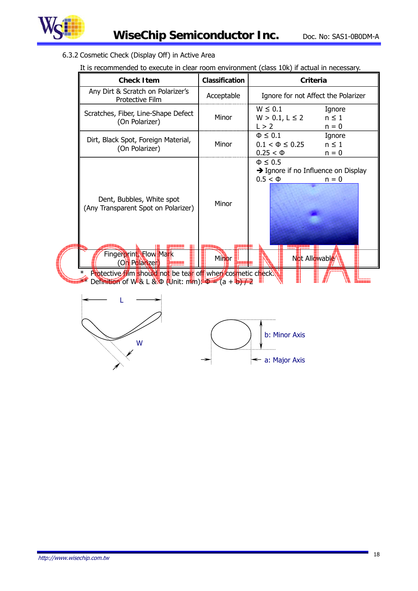

6.3.2 Cosmetic Check (Display Off) in Active Area

|                                                              | <b>Check Item</b>                                                                                                                                                           | <b>Classification</b> | <b>Criteria</b>                                                                                    |  |  |  |
|--------------------------------------------------------------|-----------------------------------------------------------------------------------------------------------------------------------------------------------------------------|-----------------------|----------------------------------------------------------------------------------------------------|--|--|--|
|                                                              | Any Dirt & Scratch on Polarizer's<br>Protective Film                                                                                                                        | Acceptable            | Ignore for not Affect the Polarizer                                                                |  |  |  |
|                                                              | Scratches, Fiber, Line-Shape Defect<br>(On Polarizer)                                                                                                                       | Minor                 | $W \leq 0.1$<br>Ignore<br>$W > 0.1, L \le 2$<br>$n \leq 1$<br>L > 2<br>$n = 0$                     |  |  |  |
|                                                              | Dirt, Black Spot, Foreign Material,<br>(On Polarizer)                                                                                                                       | Minor                 | $\Phi \leq 0.1$<br>Ignore<br>$0.1 < \Phi \leq 0.25$<br>$n \leq 1$<br>$0.25 < \Phi$<br>$n = 0$      |  |  |  |
|                                                              | Dent, Bubbles, White spot<br>(Any Transparent Spot on Polarizer)<br>Fingerprint, Flow Mark<br>(On Polarizer)<br>Protective film should not be tear off when cosmetic check. | Minor<br>Minor        | $\Phi \leq 0.5$<br>→ Ignore if no Influence on Display<br>$0.5 < \Phi$<br>$n = 0$<br>Not Allowable |  |  |  |
| Definition of W-& L & $\Phi$ (Unit: nim): $\Phi = (a + b)/2$ |                                                                                                                                                                             |                       |                                                                                                    |  |  |  |
|                                                              | W                                                                                                                                                                           |                       | b: Minor Axis<br>$\leftarrow$ a: Major Axis                                                        |  |  |  |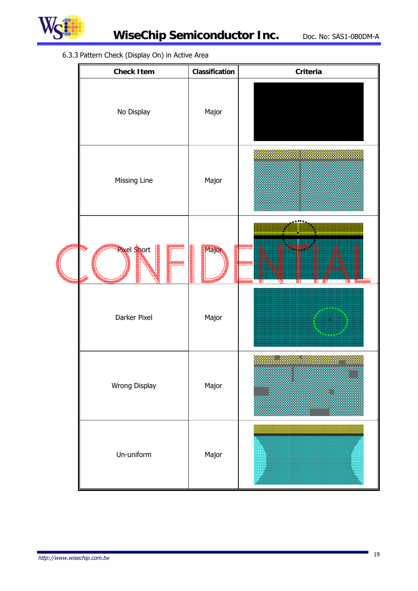

# 6.3.3 Pattern Check (Display On) in Active Area

| <b>Check Item</b>  | Classification | Criteria |  |
|--------------------|----------------|----------|--|
| No Display         | Major          |          |  |
| Missing Line       | Major          |          |  |
| <b>Rixel Short</b> | Majon          | ٣I       |  |
| Darker Pixel       | Major          |          |  |
| Wrong Display      | Major          |          |  |
| Un-uniform         | Major          |          |  |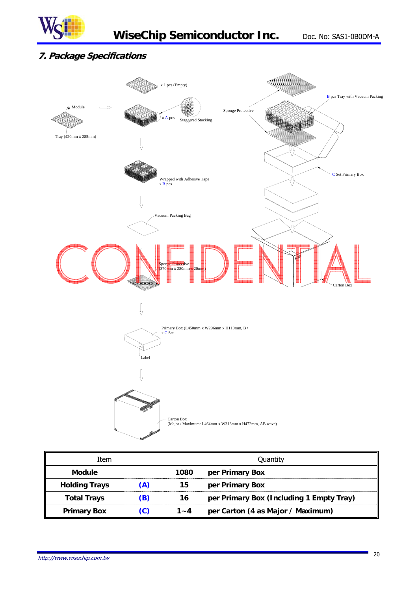

# **7. Package Specifications**



| Item                 |     | Quantity |                                          |  |
|----------------------|-----|----------|------------------------------------------|--|
| <b>Module</b>        |     | 1080     | per Primary Box                          |  |
| <b>Holding Trays</b> | (A) | 15       | per Primary Box                          |  |
| <b>Total Trays</b>   | (B) | 16       | per Primary Box (Including 1 Empty Tray) |  |
| <b>Primary Box</b>   | (C) | $1 - 4$  | per Carton (4 as Major / Maximum)        |  |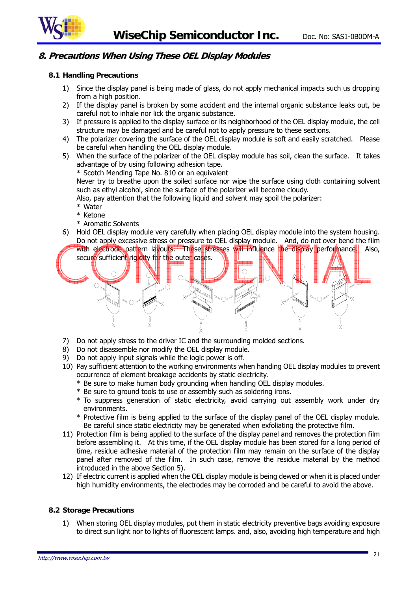

# **8. Precautions When Using These OEL Display Modules**

#### **8.1 Handling Precautions**

- 1) Since the display panel is being made of glass, do not apply mechanical impacts such us dropping from a high position.
- 2) If the display panel is broken by some accident and the internal organic substance leaks out, be careful not to inhale nor lick the organic substance.
- 3) If pressure is applied to the display surface or its neighborhood of the OEL display module, the cell structure may be damaged and be careful not to apply pressure to these sections.
- 4) The polarizer covering the surface of the OEL display module is soft and easily scratched. Please be careful when handling the OEL display module.
- 5) When the surface of the polarizer of the OEL display module has soil, clean the surface. It takes advantage of by using following adhesion tape.

\* Scotch Mending Tape No. 810 or an equivalent

Never try to breathe upon the soiled surface nor wipe the surface using cloth containing solvent such as ethyl alcohol, since the surface of the polarizer will become cloudy.

Also, pay attention that the following liquid and solvent may spoil the polarizer:

- \* Water
- \* Ketone
- \* Aromatic Solvents
- 6) Hold OEL display module very carefully when placing OEL display module into the system housing. Do not apply excessive stress or pressure to OEL display module. And, do not over bend the film



- 7) Do not apply stress to the driver IC and the surrounding molded sections.
- 8) Do not disassemble nor modify the OEL display module.
- 9) Do not apply input signals while the logic power is off.
- 10) Pay sufficient attention to the working environments when handing OEL display modules to prevent occurrence of element breakage accidents by static electricity.
	- \* Be sure to make human body grounding when handling OEL display modules.
	- \* Be sure to ground tools to use or assembly such as soldering irons.
	- \* To suppress generation of static electricity, avoid carrying out assembly work under dry environments.
	- \* Protective film is being applied to the surface of the display panel of the OEL display module. Be careful since static electricity may be generated when exfoliating the protective film.
- 11) Protection film is being applied to the surface of the display panel and removes the protection film before assembling it. At this time, if the OEL display module has been stored for a long period of time, residue adhesive material of the protection film may remain on the surface of the display panel after removed of the film. In such case, remove the residue material by the method introduced in the above Section 5).
- 12) If electric current is applied when the OEL display module is being dewed or when it is placed under high humidity environments, the electrodes may be corroded and be careful to avoid the above.

#### **8.2 Storage Precautions**

1) When storing OEL display modules, put them in static electricity preventive bags avoiding exposure to direct sun light nor to lights of fluorescent lamps. and, also, avoiding high temperature and high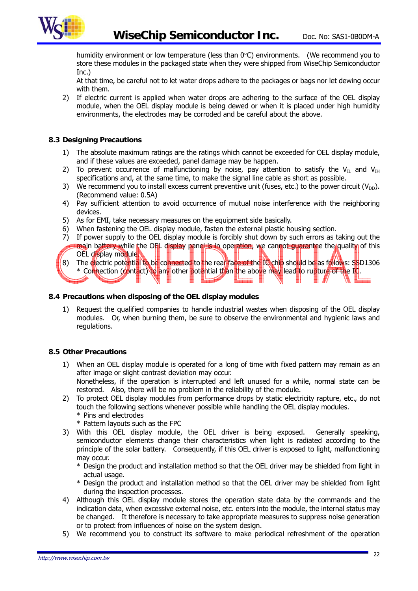

humidity environment or low temperature (less than  $0^{\circ}$ C) environments. (We recommend you to store these modules in the packaged state when they were shipped from WiseChip Semiconductor Inc.)

At that time, be careful not to let water drops adhere to the packages or bags nor let dewing occur with them.

2) If electric current is applied when water drops are adhering to the surface of the OEL display module, when the OEL display module is being dewed or when it is placed under high humidity environments, the electrodes may be corroded and be careful about the above.

#### **8.3 Designing Precautions**

- 1) The absolute maximum ratings are the ratings which cannot be exceeded for OEL display module, and if these values are exceeded, panel damage may be happen.
- 2) To prevent occurrence of malfunctioning by noise, pay attention to satisfy the  $V_{\text{IL}}$  and  $V_{\text{IH}}$ specifications and, at the same time, to make the signal line cable as short as possible.
- 3) We recommend you to install excess current preventive unit (fuses, etc.) to the power circuit ( $V_{DD}$ ). (Recommend value: 0.5A)
- 4) Pay sufficient attention to avoid occurrence of mutual noise interference with the neighboring devices.
- 5) As for EMI, take necessary measures on the equipment side basically.
- 6) When fastening the OEL display module, fasten the external plastic housing section.
- 7) If power supply to the OEL display module is forcibly shut down by such errors as taking out the main battery while the OEL display panel is in operation, we cannot quarantee the quality of this
- OEL display module. 8) The electric potential to be connected to the real face of the IC chip should be as follows: SSD1306 \* Connection (contact) to any other potential than the above may lead to rupture of the IC. **a** Leonardo

#### **8.4 Precautions when disposing of the OEL display modules**

1) Request the qualified companies to handle industrial wastes when disposing of the OEL display modules. Or, when burning them, be sure to observe the environmental and hygienic laws and regulations.

#### **8.5 Other Precautions**

- 1) When an OEL display module is operated for a long of time with fixed pattern may remain as an after image or slight contrast deviation may occur. Nonetheless, if the operation is interrupted and left unused for a while, normal state can be restored. Also, there will be no problem in the reliability of the module.
- 2) To protect OEL display modules from performance drops by static electricity rapture, etc., do not touch the following sections whenever possible while handling the OEL display modules. \* Pins and electrodes
	- \* Pattern layouts such as the FPC
- 3) With this OEL display module, the OEL driver is being exposed. Generally speaking, semiconductor elements change their characteristics when light is radiated according to the principle of the solar battery. Consequently, if this OEL driver is exposed to light, malfunctioning may occur.
	- \* Design the product and installation method so that the OEL driver may be shielded from light in actual usage.
	- \* Design the product and installation method so that the OEL driver may be shielded from light during the inspection processes.
- 4) Although this OEL display module stores the operation state data by the commands and the indication data, when excessive external noise, etc. enters into the module, the internal status may be changed. It therefore is necessary to take appropriate measures to suppress noise generation or to protect from influences of noise on the system design.
- 5) We recommend you to construct its software to make periodical refreshment of the operation